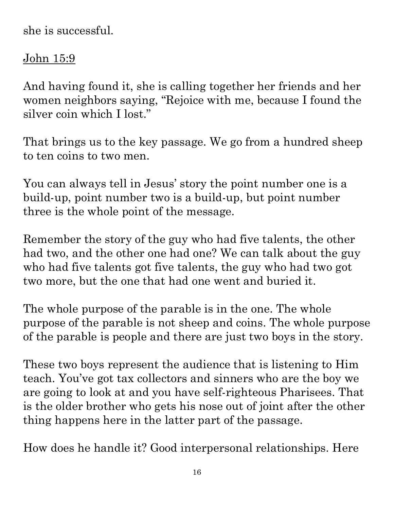she is successful.

#### <u>John 15:9</u>

And having found it, she is calling together her friends and her women neighbors saying, "Rejoice with me, because I found the silver coin which I lost."

That brings us to the key passage. We go from a hundred sheep to ten coins to two men.

You can always tell in Jesus' story the point number one is a build-up, point number two is a build-up, but point number three is the whole point of the message.

Remember the story of the guy who had five talents, the other had two, and the other one had one? We can talk about the guy who had five talents got five talents, the guy who had two got two more, but the one that had one went and buried it.

The whole purpose of the parable is in the one. The whole purpose of the parable is not sheep and coins. The whole purpose of the parable is people and there are just two boys in the story.

These two boys represent the audience that is listening to Him teach. You've got tax collectors and sinners who are the boy we are going to look at and you have self-righteous Pharisees. That is the older brother who gets his nose out of joint after the other thing happens here in the latter part of the passage.

How does he handle it? Good interpersonal relationships. Here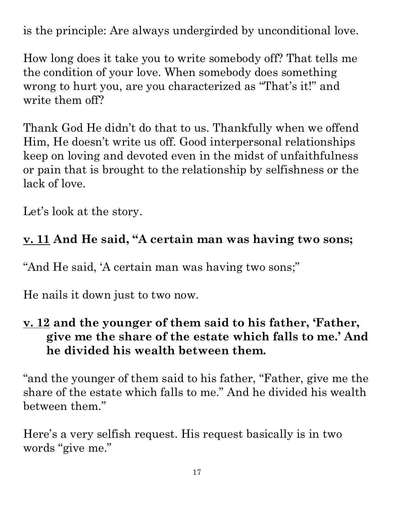paraphrased and summarized material from a attribute. Any use of material without proper citation is unintentional. Teacher notes have been attribute. Any use of material without proper citation is unintentional. Teacher notes have been compiled by Ronnie Marroquin.Quotations particularly reside within the realm of fair use. It is the nature of teacher notes to contain references that may prove difficult to accurately paraphrased and summarized material from a variety of sources, all of which have been appropriately credited to the best of our ability. Copyright © 2022 by Bible Teaching Resources by Don Anderson Ministries. The author's teacher notes incorporate quotec Copyright © 2022 by Bible Teaching Resources by Don Anderson Ministries. The author's teacher notes incorporate quoted, variety of sources all of which have been appropriately credited to the best of our ability.

is the principle: Are always undergirded by unconditional love.

How long does it take you to write somebody off? That tells me the condition of your love. When somebody does something wrong to hurt you, are you characterized as "That's it!" and write them off?

Thank God He didn't do that to us. Thankfully when we offend Him, He doesn't write us off. Good interpersonal relationships keep on loving and devoted even in the midst of unfaithfulness or pain that is brought to the relationship by selfishness or the lack of love. condition of your love. When somebody does something<br>
give to hurt you, are you characterized as "That's it!" and<br>
e them off?<br>
and God He didn't do that to us. Thankfully when we offend<br>
in Re dosen't write us off. Good i

Let's look at the story.

#### **v. 11 And He said, "A certain man was having two sons;**

"And He said, 'A certain man was having two sons;"

He nails it down just to two now.

### **v. 12 and the younger of them said to his father, 'Father, he divided his wealth between them.**

"and the younger of them said to his father, "Father, give me the share of the estate which falls to me." And he divided his wealth between them."

Here's a very selfish request. His request basically is in two words "give me."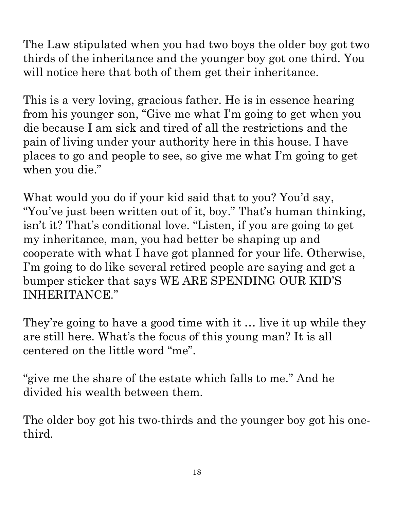The Law stipulated when you had two boys the older boy got two thirds of the inheritance and the younger boy got one third. You will notice here that both of them get their inheritance. attribute

This is a very loving, gracious father. He is in essence hearing from his younger son, "Give me what I'm going to get when you die because I am sick and tired of all the restrictions and the pain of living under your authority here in this house. I have places to go and people to see, so give me what I'm going to get when you die."

What would you do if your kid said that to you? You'd say, "You've just been written out of it, boy." That's human thinking, isn't it? That's conditional love. "Listen, if you are going to get my inheritance, man, you had better be shaping up and cooperate with what I have got planned for your life. Otherwise, I'm going to do like several retired people are saying and get a bumper sticker that says WE ARE SPENDING OUR KID'S INHERITANCE." will notice here that both of them get their inheritance.<br>
This is a very loving, gracious father. He is in essence hearing<br>
from his younger son, "Give me what I'm going to get when you<br>
die because I am sick and tired o

They're going to have a good time with it  $\ldots$  live it up while they are still here. What's the focus of this young man? It is all centered on the little word "me".

"give me the share of the estate which falls to me." And he divided his wealth between them.

third.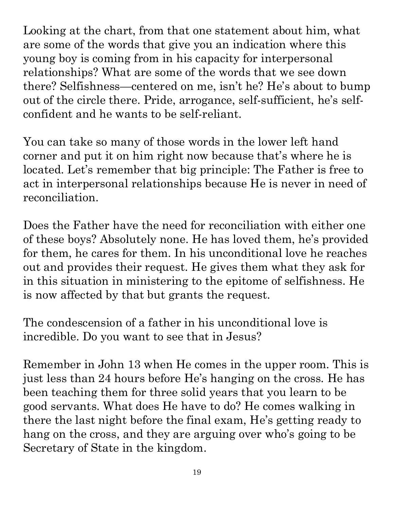Looking at the chart, from that one statement about him, what are some of the words that give you an indication where this young boy is coming from in his capacity for interpersonal relationships? What are some of the words that we see down there? Selfishness—centered on me, isn't he? He's about to bump out of the circle there. Pride, arrogance, self-sufficient, he's selfconfident and he wants to be self-reliant.

You can take so many of those words in the lower left hand corner and put it on him right now because that's where he is located. Let's remember that big principle: The Father is free to act in interpersonal relationships because He is never in need of reconciliation.

Does the Father have the need for reconciliation with either one of these boys? Absolutely none. He has loved them, he's provided out and provides their request. He gives them what they ask for in this situation in ministering to the epitome of selfishness. He<sup>o</sup> is now affected by that but grants the request.

The condescension of a father in his unconditional love is incredible. Do you want to see that in Jesus? Is now affected by that but grants the request.<br>The condescension of a father in his unconditional love is<br>incredible. Do you want to see that in Jesus?<br>Remember in John 13 when He comes in the upper room. This is

for them, he cares for them. In his unconditional love he reaches<br>
out and provides their request. He gives them what they ask for<br>
in this situation in ministering to the epitome of selfishness. He<br>
is now affected by th just less than 24 hours before He's hanging on the cross. He has been teaching them for three solid years that you learn to be good servants. What does He have to do? He comes walking in there the last night before the final exam, He's getting ready to hang on the cross, and they are arguing over who's going to be Secretary of State in the kingdom.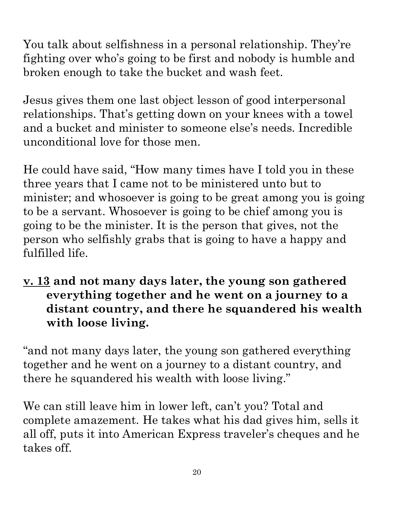You talk about selfishness in a personal relationship. They're fighting over who's going to be first and nobody is humble and broken enough to take the bucket and wash feet.

Jesus gives them one last object lesson of good interpersonal relationships. That's getting down on your knees with a towel and a bucket and minister to someone else's needs. Incredible unconditional love for those men.

He could have said, "How many times have I told you in these three years that I came not to be ministered unto but to minister; and whosoever is going to be great among you is going to be a servant. Whosoever is going to be chief among you is going to be the minister. It is the person that gives, not the person who selfishly grabs that is going to have a happy and fulfilled life.

**v. 13 and not many days later, the young son gathered everything together and he went on a journey to a distant country, and there he squandered his wealth with loose living.** 

"and not many days later, the young son gathered everything together and he went on a journey to a distant country, and there he squandered his wealth with loose living."

We can still leave him in lower left, can't you? Total and complete amazement. He takes what his dad gives him, sells it all off, puts it into American Express traveler's cheques and he takes off.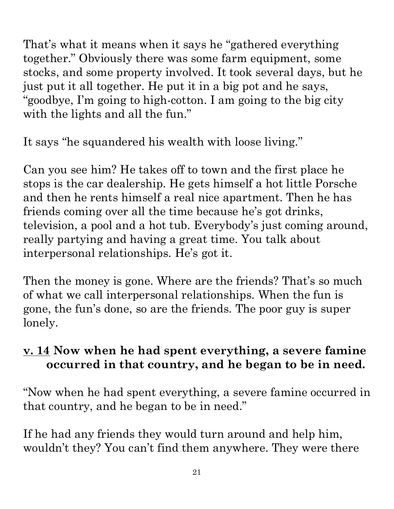That's what it means when it says he "gathered everything together." Obviously there was some farm equipment, some stocks, and some property involved. It took several days, but he just put it all together. He put it in a big pot and he says, "goodbye, I'm going to high-cotton. I am going to the big city with the lights and all the fun." attribute. Any use of material without proper citation is unintentional. Teacher notes have been compiled by Ronnie Marroquin.

It says "he squandered his wealth with loose living."

Can you see him? He takes off to town and the first place he stops is the car dealership. He gets himself a hot little Porsche and then he rents himself a real nice apartment. Then he has friends coming over all the time because he's got drinks, television, a pool and a hot tub. Everybody's just coming around. really partying and having a great time. You talk about interpersonal relationships. He's got it.

Then the money is gone. Where are the friends? That's so much of what we call interpersonal relationships. When the fun is gone, the fun's done, so are the friends. The poor guy is super lonely.

#### **v. 14 Now when he had spent everything, a severe famine occurred in that country, and he began to be in need.**

"Now when he had spent everything, a severe famine occurred in that country, and he began to be in need."

If he had any friends they would turn around and help him, wouldn't they? You can't find them anywhere. They were there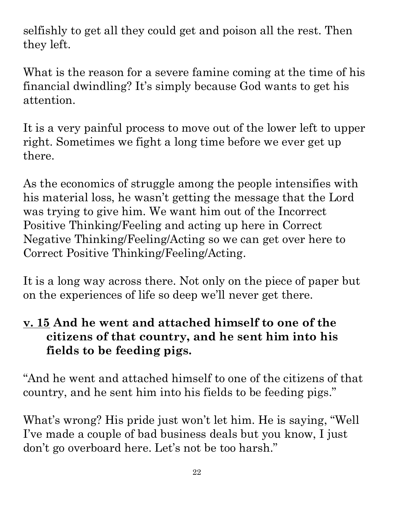attribute. Any use of material without proper citation is unintentional. Teacher notes have been compiled by Ronnie Marroquin.Quotations particularly reside within the realm of fair use. It is the nature of teacher notes to contain references that may prove difficult to accurately Copyright © 2022 by Bible Teaching Resources by Don Anderson Ministries. The author's teacher notes incorporate quoted,<br>paraphrased and summarized material from a variety of sources, all of which have been appropriately cr paraphrased and summarized material from a variety of sources, all of which have been appropriately credited to the best of our ability. Copyright © 2022 by Bible Teaching Resources by Don Anderson Ministries. The author's teacher notes incorporate quoted,

selfishly to get all they could get and poison all the rest. Then they left.

What is the reason for a severe famine coming at the time of his financial dwindling? It's simply because God wants to get his attention.

It is a very painful process to move out of the lower left to upper right. Sometimes we fight a long time before we ever get up there.

As the economics of struggle among the people intensifies with his material loss, he wasn't getting the message that the Lord was trying to give him. We want him out of the Incorrect Positive Thinking/Feeling and acting up here in Correct Negative Thinking/Feeling/Acting so we can get over here to Correct Positive Thinking/Feeling/Acting.

It is a long way across there. Not only on the piece of paper but on the experiences of life so deep we'll never get there.

#### **v. 15 And he went and attached himself to one of the citizens of that country, and he sent him into his fields to be feeding pigs.**

"And he went and attached himself to one of the citizens of that  $\mid$ country, and he sent him into his fields to be feeding pigs."

What's wrong? His pride just won't let him. He is saying, "Well I've made a couple of bad business deals but you know, I just don't go overboard here. Let's not be too harsh."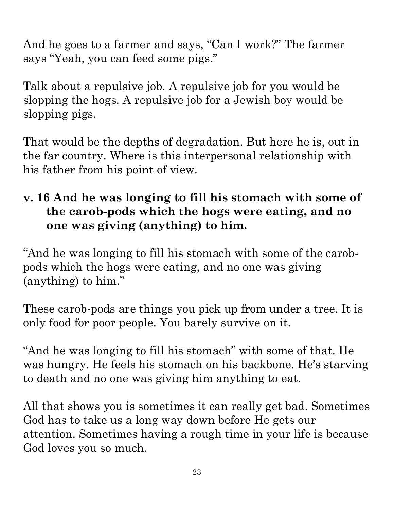And he goes to a farmer and says, "Can I work?" The farmer says "Yeah, you can feed some pigs."

Talk about a repulsive job. A repulsive job for you would be slopping the hogs. A repulsive job for a Jewish boy would be slopping pigs.

That would be the depths of degradation. But here he is, out in the far country. Where is this interpersonal relationship with his father from his point of view.

# Talk about a repulsive job. A repulsive job for you would be<br>slopping the hogs. A repulsive job for a Jewish boy would be<br>slopping pigs.<br>That would be the depths of degradation. But here he is, out in<br>the far country. Whe **the carob-pods which the hogs were eating, and no one was giving (anything) to him.**

"And he was longing to fill his stomach with some of the carobpods which the hogs were eating, and no one was giving (anything) to him." "And he was longing to fill his stomach with some of the carob-<br>pods which the hogs were eating, and no one was giving<br>(anything) to him."<br>These carob-pods are things you pick up from under a tree. It is<br>seen in the same

only food for poor people. You barely survive on it.

"And he was longing to fill his stomach" with some of that. He was hungry. He feels his stomach on his backbone. He's starving to death and no one was giving him anything to eat. These carob-pods are things you pick up from under a tree. It is<br>solutionly food for poor people. You barely survive on it.<br>"And he was longing to fill his stomach" with some of that. He<br>was hungry. He feels his stomach o

God has to take us a long way down before He gets our attention. Sometimes having a rough time in your life is because God loves you so much.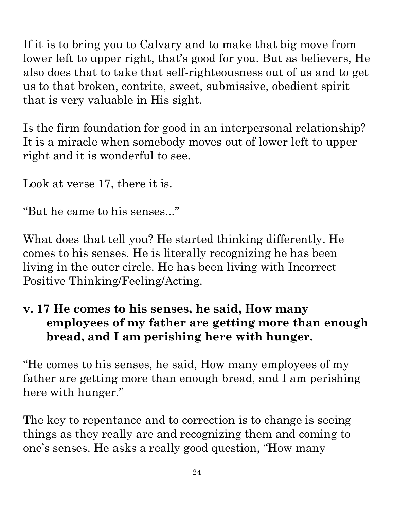If it is to bring you to Calvary and to make that big move from lower left to upper right, that's good for you. But as believers, He us to that broken, contrite, sweet, submissive, obedient spirit Any. that is very valuable in His sight.

Is the firm foundation for good in an interpersonal relationship? It is a miracle when somebody moves out of lower left to upper right and it is wonderful to see.

Look at verse 17, there it is.

"But he came to his senses..."

also does that to take that self-righteousness out of us and to get<br>
us to that broken, contrite, sweet, submissive, obedient spirit<br>
that is very valuable in His sight.<br>
It is a miracle when somebody moves out of lower l What does that tell you? He started thinking differently. He comes to his senses. He is literally recognizing he has been living in the outer circle. He has been living with Incorrect Positive Thinking/Feeling/Acting.

#### **v. 17 He comes to his senses, he said, How many employees of my father are getting more than enough bread, and I am perishing here with hunger.**

"He comes to his senses, he said, How many employees of my father are getting more than enough bread, and I am perishing here with hunger."

The key to repentance and to correction is to change is seeing things as they really are and recognizing them and coming to one's senses. He asks a really good question, "How many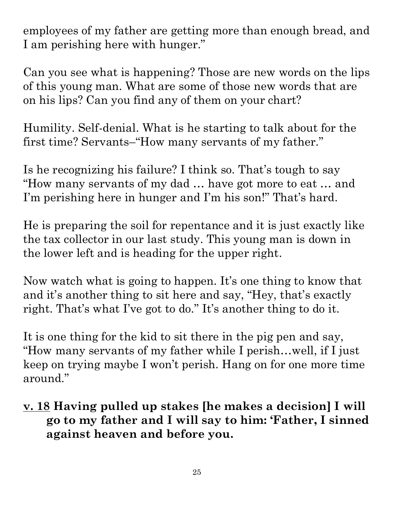employees of my father are getting more than enough bread, and I am perishing here with hunger."

Can you see what is happening? Those are new words on the lips of this young man. What are some of those new words that are on his lips? Can you find any of them on your chart?

Humility. Self-denial. What is he starting to talk about for the first time? Servants–"How many servants of my father."

Is he recognizing his failure? I think so. That's tough to say "How many servants of my dad … have got more to eat … and I'm perishing here in hunger and I'm his son!" That's hard.

He is preparing the soil for repentance and it is just exactly like the tax collector in our last study. This young man is down in the lower left and is heading for the upper right.

Now watch what is going to happen. It's one thing to know that and it's another thing to sit here and say, "Hey, that's exactly right. That's what I've got to do." It's another thing to do it.

It is one thing for the kid to sit there in the pig pen and say, "How many servants of my father while I perish…well, if I just keep on trying maybe I won't perish. Hang on for one more time around." **go to my father and I will say to him: 'Father, I sinned against heaven and before you.**<br> **Example 10** will say the same of the upper right.<br> **Example 10** with the same of the upper signal is down in the same of the upper

**v. 18 Having pulled up stakes [he makes a decision] I will against heaven and before you.**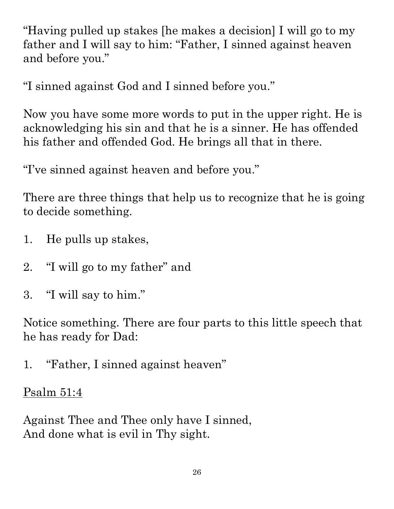"Having pulled up stakes [he makes a decision] I will go to my father and I will say to him: "Father, I sinned against heaven and before you."

"I sinned against God and I sinned before you."

Now you have some more words to put in the upper right. He is acknowledging his sin and that he is a sinner. He has offended his father and offended God. He brings all that in there.

"I've sinned against heaven and before you."

There are three things that help us to recognize that he is going. to decide something.

- 1. He pulls up stakes,
- 2. "I will go to my father" and
- 3. "I will say to him."

Notice something. There are four parts to this little speech that he has ready for Dad:

1. "Father, I sinned against heaven"

#### Psalm 51:4

Against Thee and Thee only have I sinned, And done what is evil in Thy sight.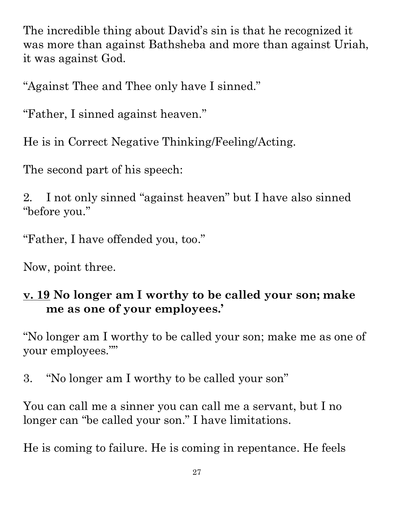The incredible thing about David's sin is that he recognized it was more than against Bathsheba and more than against Uriah, it was against God.

"Against Thee and Thee only have I sinned."

"Father, I sinned against heaven."

He is in Correct Negative Thinking/Feeling/Acting.

The second part of his speech:

2. I not only sinned "against heaven" but I have also sinned "before you."

"Father, I have offended you, too."

Now, point three.

#### **v. 19 No longer am I worthy to be called your son; make me as one of your employees.'**

"No longer am I worthy to be called your son; make me as one of  $\overline{\mathbb{R}}$ your employees.""

3. "No longer am I worthy to be called your son"

You can call me a sinner you can call me a servant, but I no longer can "be called your son." I have limitations.

He is coming to failure. He is coming in repentance. He feels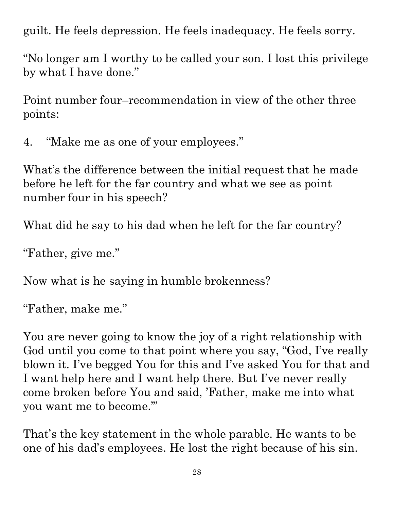guilt. He feels depression. He feels inadequacy. He feels sorry.

"No longer am I worthy to be called your son. I lost this privilege by what I have done."

Point number four–recommendation in view of the other three points:

4. "Make me as one of your employees."

What's the difference between the initial request that he made before he left for the far country and what we see as point number four in his speech?

What did he say to his dad when he left for the far country?

"Father, give me."

Now what is he saying in humble brokenness?

"Father, make me."

You are never going to know the joy of a right relationship with  $\frac{1}{2}$ God until you come to that point where you say, "God, I've really blown it. I've begged You for this and I've asked You for that and I want help here and I want help there. But I've never really come broken before You and said, 'Father, make me into what you want me to become.'"

That's the key statement in the whole parable. He wants to be one of his dad's employees. He lost the right because of his sin.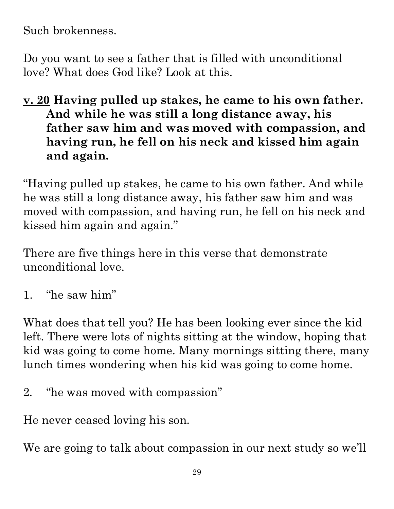Such brokenness.

Do you want to see a father that is filled with unconditional love? What does God like? Look at this.

**love? What does God like? Look at this.**<br> **<u>v. 20</u> Having pulled up stakes, he came to his own father. And while he was still a long distance away, his father saw him and was moved with compassion, and having run, he fell on his neck and kissed him again and again.** 

"Having pulled up stakes, he came to his own father. And while  $|$ he was still a long distance away, his father saw him and was moved with compassion, and having run, he fell on his neck and kissed him again and again."

There are five things here in this verse that demonstrate unconditional love. kissed him again and again."<br>
There are five things here in this verse that demonstrate<br>
unconditional love.<br>
1. "he saw him"<br>
What does that tell you? He has been looking ever since the kid

1. "he saw him"

attribute. Any use of material without proper citation is unintentional. Teacher notes have been compiled by Ronnie Marroquin.he was still a long distance away, his father saw him and was moved with compassion, and having run, he fell on his neck and stand is sixed him again and again."<br>
There are five things here in this verse that demonstrate<br> left. There were lots of nights sitting at the window, hoping that lunch times wondering when his kid was going to come home. Marroquin

2. "he was moved with compassion"

He never ceased loving his son.

We are going to talk about compassion in our next study so we'll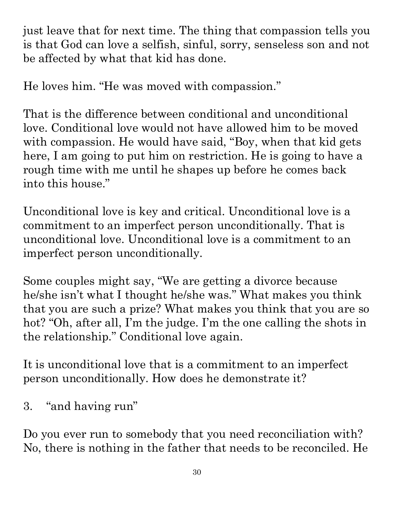just leave that for next time. The thing that compassion tells you is that God can love a selfish, sinful, sorry, senseless son and not be affected by what that kid has done.

He loves him. "He was moved with compassion."

That is the difference between conditional and unconditional love. Conditional love would not have allowed him to be moved with compassion. He would have said, "Boy, when that kid gets here, I am going to put him on restriction. He is going to have a rough time with me until he shapes up before he comes back into this house." He loves him. "He was moved with compassion."<br>
That is the difference between conditional and unconditional<br>
with compassion. He would have said, "Boy, when that kid gets<br>
with compassion. He would have said, "Boy, when t

Unconditional love is key and critical. Unconditional love is a commitment to an imperfect person unconditionally. That is unconditional love. Unconditional love is a commitment to an imperfect person unconditionally. rough time with me until he shapes up before he comes back<br>
into this house."<br>
Unconditional love is key and critical. Unconditional love is a<br>
commitment to an imperfect person unconditionally. That is<br>
unconditional lov

Some couples might say, "We are getting a divorce because the relationship." Conditional love again.

hot? "Oh, after all, I'm the judge. I'm the one calling the shots in the relationship." Conditional love again.<br>It is unconditional love that is a commitment to an imperfect person unconditionally. How does he demonstrate It is unconditional love that is a commitment to an imperfect person unconditionally. How does he demonstrate it?

3. "and having run"

Do you ever run to somebody that you need reconciliation with? No, there is nothing in the father that needs to be reconciled. He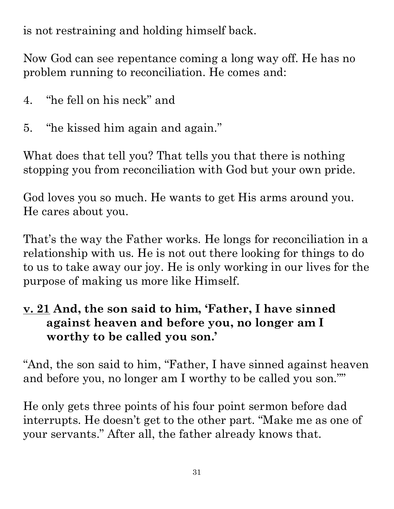paraphrased and summarized attribute. Any use of material without proper citation is unintentional. Teacher notes have been compiled by Ronnie Marroquin.Quotations particularly reside within the realm of fair use. It is the nature of teacher notes to contain references that may prove difficult to accurately paraphrased and summarized material from a variety of sources, all of which have been appropriately credited to the best of our ability. Copyright © 2022 by Bible Teaching Resources by Don Anderson Ministries. Copyright © 2022 by Bible Teaching Resources by Don Anderson Ministries. The author's teacher notes incorporate quoted, material from a variety of sources all of which have been appropriately credited . The author's teacher notes incorporate quoted to the best of our ability

is not restraining and holding himself back.

Now God can see repentance coming a long way off. He has no problem running to reconciliation. He comes and:

- 4. "he fell on his neck" and
- 5. "he kissed him again and again."

What does that tell you? That tells you that there is nothing stopping you from reconciliation with God but your own pride.

God loves you so much. He wants to get His arms around you. He cares about you.

That's the way the Father works. He longs for reconciliation in  $\frac{a}{A}$ relationship with us. He is not out there looking for things to  $\text{do}^{\frac{8}{2}}$ problem running to reconciliation. He comes and:<br>
4. "he fell on his neck" and<br>
5. "he kissed him again and again."<br>
What does that tell you? That tells you that there is nothing<br>
stopping you from reconciliation with God purpose of making us more like Himself.

## **v. 21 And, the son said to him, 'Father, I have sinned against heaven and before you, no longer am I worthy to be called you son.'**  purpose or making us more like Himself.<br>  $\underline{\mathbf{v}}$ . 21 And, the son said to him, 'Father, I have sinned<br>
against heaven and before you, no longer am I<br>
worthy to be called you son.'<br>
"And, the son said to him, "Father,

and before you, no longer am I worthy to be called you son.""

He only gets three points of his four point sermon before dad interrupts. He doesn't get to the other part. "Make me as one of your servants." After all, the father already knows that.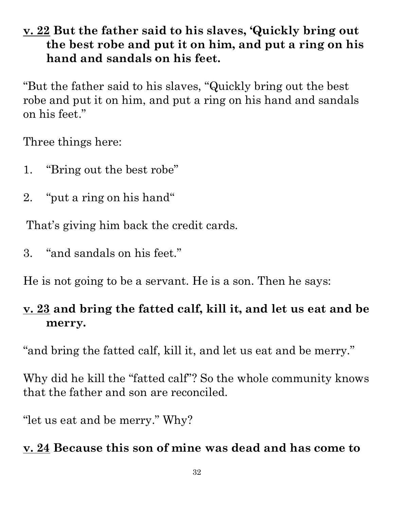#### **v. 22 But the father said to his slaves, 'Quickly bring out the best robe and put it on him, and put a ring on his hand and sandals on his feet.**

"But the father said to his slaves, "Quickly bring out the best robe and put it on him, and put a ring on his hand and sandals on his feet."

Three things here:

- 1. "Bring out the best robe"
- 2. "put a ring on his hand"

That's giving him back the credit cards.

3. "and sandals on his feet."

He is not going to be a servant. He is a son. Then he says:

## **merry.**

"and bring the fatted calf, kill it, and let us eat and be merry."

**v. 23 and bring the fatted calf, kill it, and let us eat and be**<br>**merry.**<br>"and bring the fatted calf, kill it, and let us eat and be merry."<br>Why did he kill the "fatted calf"? So the whole community knows that the father Why did he kill the "fatted calf"? So the whole community knows that the father and son are reconciled.

"let us eat and be merry." Why?

#### **v. 24 Because this son of mine was dead and has come to**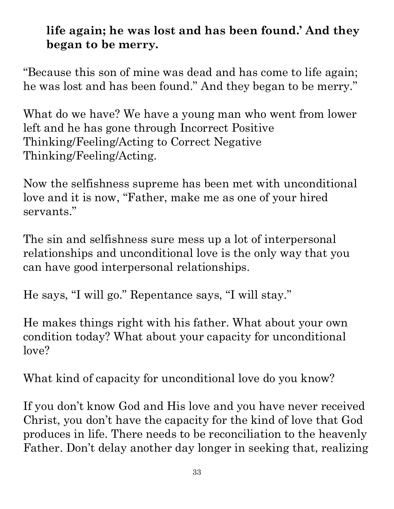#### **life again; he was lost and has been found.' And they began to be merry.**

"Because this son of mine was dead and has come to life again; he was lost and has been found." And they began to be merry."

What do we have? We have a young man who went from lower left and he has gone through Incorrect Positive Thinking/Feeling/Acting to Correct Negative Thinking/Feeling/Acting.

Now the selfishness supreme has been met with unconditional love and it is now, "Father, make me as one of your hired servants."

The sin and selfishness sure mess up a lot of interpersonal relationships and unconditional love is the only way that you can have good interpersonal relationships.

He says, "I will go." Repentance says, "I will stay."

He makes things right with his father. What about your own condition today? What about your capacity for unconditional love?

What kind of capacity for unconditional love do you know?

If you don't know God and His love and you have never received Christ, you don't have the capacity for the kind of love that God Christ, you don't have the capacity for the kind of love that God  $\frac{8}{6}$  produces in life. There needs to be reconciliation to the heavenly  $\frac{8}{6}$ Father. Don't delay another day longer in seeking that, realizing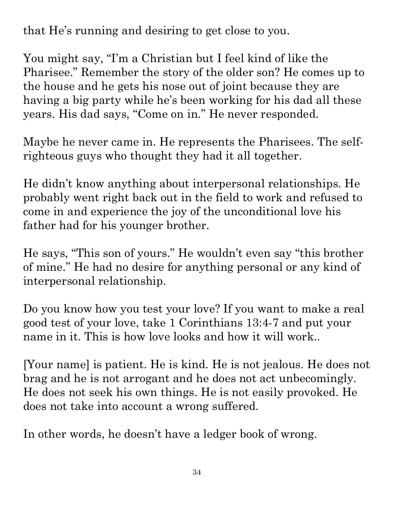that He's running and desiring to get close to you.

You might say, "I'm a Christian but I feel kind of like the Pharisee." Remember the story of the older son? He comes up to. the house and he gets his nose out of joint because they are years. His dad says, "Come on in." He never responded.

Maybe he never came in. He represents the Pharisees. The selfrighteous guys who thought they had it all together.

having a big party while he's been working for his dad all these  $\frac{2}{3}$  years. His dad says, "Come on in." He never responded.<br>Maybe he never came in. He represents the Pharisees. The self-<br>righteous guys who thought t He didn't know anything about interpersonal relationships. He probably went right back out in the field to work and refused to come in and experience the joy of the unconditional love his father had for his younger brother.

He says, "This son of yours." He wouldn't even say "this brother  $\frac{1}{8}$  of mine." He had no desire for anything personal or any kind of  $\frac{1}{8}$ of mine." He had no desire for anything personal or any kind of interpersonal relationship.

Do you know how you test your love? If you want to make a real $\frac{1}{5}$ good test of your love, take 1 Corinthians 13:4-7 and put your name in it. This is how love looks and how it will work..

Do you know how you test your love? If you want to make a real<br>good test of your love, take 1 Corinthians 13:4-7 and put your<br>name in it. This is how love looks and how it will work.<br>[Your name] is patient. He is kind. He brag and he is not arrogant and he does not act unbecomingly. He does not seek his own things. He is not easily provoked. He does not take into account a wrong suffered.

In other words, he doesn't have a ledger book of wrong.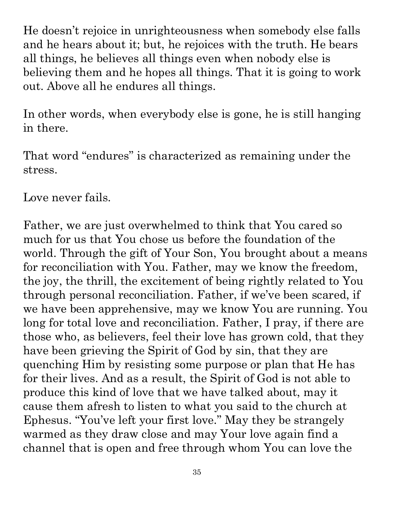He doesn't rejoice in unrighteousness when somebody else falls and he hears about it; but, he rejoices with the truth. He bears all things, he believes all things even when nobody else is believing them and he hopes all things. That it is going to work out. Above all he endures all things.

In other words, when everybody else is gone, he is still hanging in there.

That word "endures" is characterized as remaining under the stress.

Love never fails.

Father, we are just overwhelmed to think that You cared so much for us that You chose us before the foundation of the believing them and he hopes all things. That it is going to work<br>out. Above all he endures all things.<br>In other words, when everybody else is gone, he is still hanging<br>in there.<br>That word "ondures" is characterized as rema for reconciliation with You. Father, may we know the freedom, the joy, the thrill, the excitement of being rightly related to You through personal reconciliation. Father, if we've been scared, if we have been apprehensive, may we know You are running. You  $\log$  for total love and reconciliation. Father, I pray, if there are  $\frac{1}{3}$ those who, as believers, feel their love has grown cold, that they have been grieving the Spirit of God by sin, that they are quenching Him by resisting some purpose or plan that He has for their lives. And as a result, the Spirit of God is not able to produce this kind of love that we have talked about, may it cause them afresh to listen to what you said to the church at Ephesus. "You've left your first love." May they be strangely warmed as they draw close and may Your love again find a channel that is open and free through whom You can love the attribute. Any use of material without proper citation is unintentional. Teacher notes have been compiled by Ronnie Marroquin.

35

Copyright © 2022 by Bible Teaching Resources by Don Anderson Ministries. The author's teacher notes incorporate quoted,

paraphrased and summarized material from a variety of sources, all of which have been appropriately credited to the best of our ability.

Copyright © 2022 by Bible Teaching Resources by Don Anderson Ministries. The author's teacher notes incorporate quoted,<br>paraphrased and summarized material from a variety of sources, all of which have been appropriately cr

Quotations particularly reside within the realm of fair use. It is the nature of teacher notes to contain references that may prove difficult to accurately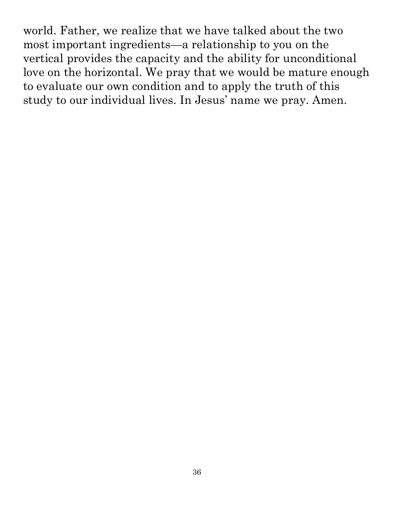world. Father, we realize that we have talked about the two most important ingredients—a relationship to you on the vertical provides the capacity and the ability for unconditional love on the horizontal. We pray that we would be mature enough to evaluate our own condition and to apply the truth of this study to our individual lives. In Jesus' name we pray. Amen. attribute. Any use of material without proper citation is unintentional. Teacher notes have been compiled by Ronnie Marroquin.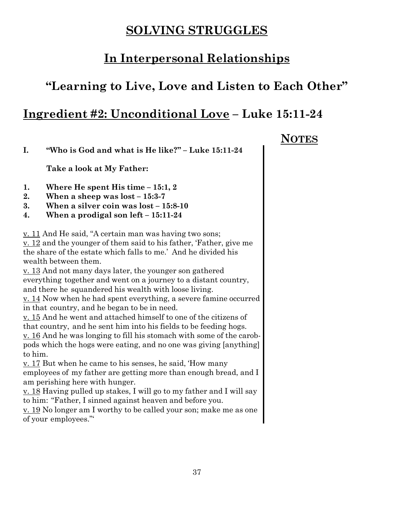#### **SOLVING STRUGGLES**

#### **In Interpersonal Relationships**

#### **"Learning to Live, Love and Listen to Each Other"**

#### **Ingredient #2: Unconditional Love – Luke 15:11-24**

**I. "Who is God and what is He like?" – Luke 15:11-24**

**Take a look at My Father:**

- **1. Where He spent His time 15:1, 2**
- **2. When a sheep was lost 15:3-7**
- **3. When a silver coin was lost 15:8-10**
- **4. When a prodigal son left 15:11-24**

v. 11 And He said, "A certain man was having two sons;

v. 12 and the younger of them said to his father, 'Father, give me the share of the estate which falls to me.' And he divided his wealth between them.

v. 13 And not many days later, the younger son gathered everything together and went on a journey to a distant country, and there he squandered his wealth with loose living.

v. 14 Now when he had spent everything, a severe famine occurred in that country, and he began to be in need.

v. 15 And he went and attached himself to one of the citizens of that country, and he sent him into his fields to be feeding hogs.

v. 16 And he was longing to fill his stomach with some of the carobpods which the hogs were eating, and no one was giving [anything] to him.

v. 17 But when he came to his senses, he said, 'How many employees of my father are getting more than enough bread, and I am perishing here with hunger.

v. 18 Having pulled up stakes, I will go to my father and I will say to him: "Father, I sinned against heaven and before you.

v. 19 No longer am I worthy to be called your son; make me as one of your employees."'

 **NOTES**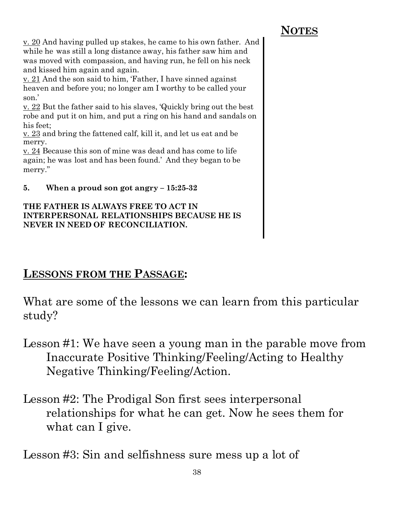38

v. 20 And having pulled up stakes, he came to his own father. And while he was still a long distance away, his father saw him and was moved with compassion, and having run, he fell on his neck and kissed him again and again.

v. 21 And the son said to him, 'Father, I have sinned against heaven and before you; no longer am I worthy to be called your son.'

v. 22 But the father said to his slaves, 'Quickly bring out the best robe and put it on him, and put a ring on his hand and sandals on his feet;

v. 23 and bring the fattened calf, kill it, and let us eat and be merry.

v. 24 Because this son of mine was dead and has come to life again; he was lost and has been found.' And they began to be merry."

**5. When a proud son got angry – 15:25-32**

#### **THE FATHER IS ALWAYS FREE TO ACT IN INTERPERSONAL RELATIONSHIPS BECAUSE HE IS NEVER IN NEED OF RECONCILIATION.**

#### **LESSONS FROM THE PASSAGE:**

What are some of the lessons we can learn from this particular study?

- Lesson #1: We have seen a young man in the parable move from  $\overline{\mathbb{R}}$ Inaccurate Positive Thinking/Feeling/Acting to Healthy Negative Thinking/Feeling/Action.
- Lesson #2: The Prodigal Son first sees interpersonal relationships for what he can get. Now he sees them for what can I give.

Lesson #3: Sin and selfishness sure mess up a lot of